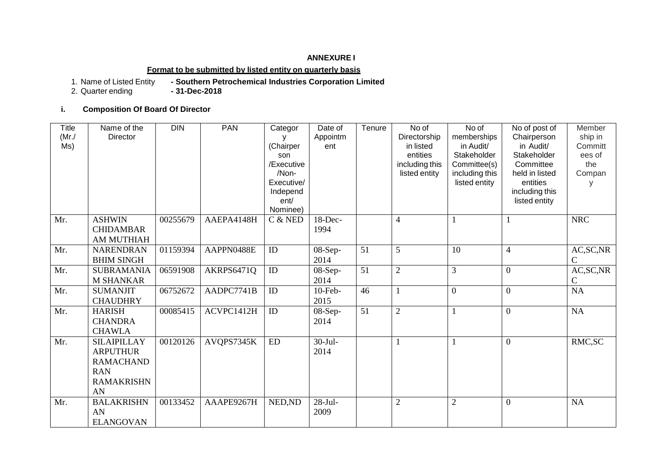#### **ANNEXURE I**

## **Format to be submitted by listed entity on quarterly basis**

**1. Southern Petrochemical Industries Corporation Limited**<br>**- 31-Dec-2018** 

1. Name of Listed Entity<br>2. Quarter ending

**i. Composition Of Board Of Director** 

| Title<br>(Mr./<br>Ms) | Name of the<br>Director                                                                            | <b>DIN</b> | <b>PAN</b> | Categor<br>(Chairper<br>son<br>/Executive<br>/Non-<br>Executive/<br>Independ<br>ent/<br>Nominee) | Date of<br>Appointm<br>ent | Tenure | No of<br>Directorship<br>in listed<br>entities<br>including this<br>listed entity | No of<br>memberships<br>in Audit/<br>Stakeholder<br>Committee(s)<br>including this<br>listed entity | No of post of<br>Chairperson<br>in Audit/<br>Stakeholder<br>Committee<br>held in listed<br>entities<br>including this<br>listed entity | Member<br>ship in<br>Committ<br>ees of<br>the<br>Compan |
|-----------------------|----------------------------------------------------------------------------------------------------|------------|------------|--------------------------------------------------------------------------------------------------|----------------------------|--------|-----------------------------------------------------------------------------------|-----------------------------------------------------------------------------------------------------|----------------------------------------------------------------------------------------------------------------------------------------|---------------------------------------------------------|
| Mr.                   | <b>ASHWIN</b><br><b>CHIDAMBAR</b><br><b>AM MUTHIAH</b>                                             | 00255679   | AAEPA4148H | $C$ & NED                                                                                        | 18-Dec-<br>1994            |        | $\overline{4}$                                                                    |                                                                                                     | 1                                                                                                                                      | <b>NRC</b>                                              |
| Mr.                   | <b>NARENDRAN</b><br><b>BHIM SINGH</b>                                                              | 01159394   | AAPPN0488E | ID                                                                                               | $08-Sep-$<br>2014          | 51     | 5                                                                                 | 10                                                                                                  | $\overline{4}$                                                                                                                         | AC, SC, NR<br>$\mathcal{C}$                             |
| Mr.                   | <b>SUBRAMANIA</b><br><b>M SHANKAR</b>                                                              | 06591908   | AKRPS6471Q | ID                                                                                               | $08-Sep-$<br>2014          | 51     | $\mathfrak{2}$                                                                    | 3                                                                                                   | $\Omega$                                                                                                                               | AC, SC, NR<br>$\mathcal{C}$                             |
| Mr.                   | <b>SUMANJIT</b><br><b>CHAUDHRY</b>                                                                 | 06752672   | AADPC7741B | ID                                                                                               | $10$ -Feb-<br>2015         | 46     | $\mathbf{1}$                                                                      | $\boldsymbol{0}$                                                                                    | $\overline{0}$                                                                                                                         | <b>NA</b>                                               |
| Mr.                   | <b>HARISH</b><br><b>CHANDRA</b><br><b>CHAWLA</b>                                                   | 00085415   | ACVPC1412H | ID                                                                                               | $08-Sep-$<br>2014          | 51     | $\overline{2}$                                                                    |                                                                                                     | $\overline{0}$                                                                                                                         | NA                                                      |
| Mr.                   | <b>SILAIPILLAY</b><br><b>ARPUTHUR</b><br><b>RAMACHAND</b><br><b>RAN</b><br><b>RAMAKRISHN</b><br>AN | 00120126   | AVQPS7345K | ${\rm ED}$                                                                                       | $30-Jul-$<br>2014          |        | $\mathbf{1}$                                                                      |                                                                                                     | $\overline{0}$                                                                                                                         | RMC, SC                                                 |
| Mr.                   | <b>BALAKRISHN</b><br>AN<br><b>ELANGOVAN</b>                                                        | 00133452   | AAAPE9267H | NED, ND                                                                                          | $28-Jul-$<br>2009          |        | $\overline{2}$                                                                    | $\overline{2}$                                                                                      | $\theta$                                                                                                                               | <b>NA</b>                                               |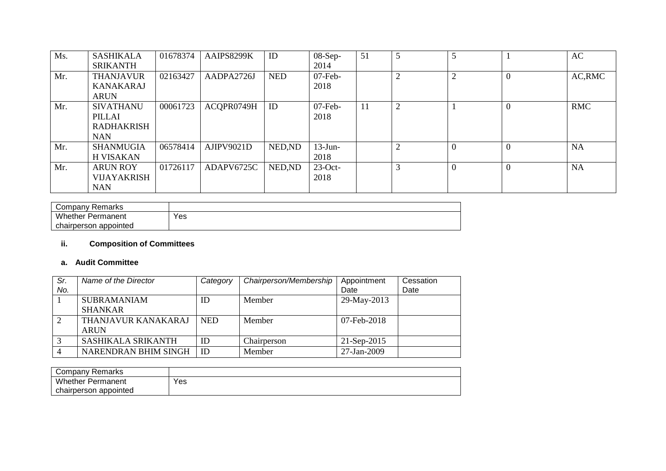| Ms. | <b>SASHIKALA</b><br><b>SRIKANTH</b>                           | 01678374 | AAIPS8299K | ID         | $08-Sep-$<br>2014  | 51 | 5 |                |                | AC         |
|-----|---------------------------------------------------------------|----------|------------|------------|--------------------|----|---|----------------|----------------|------------|
| Mr. | <b>THANJAVUR</b><br><b>KANAKARAJ</b><br><b>ARUN</b>           | 02163427 | AADPA2726J | <b>NED</b> | $07$ -Feb-<br>2018 |    | 2 | 2              | $\overline{0}$ | AC, RMC    |
| Mr. | <b>SIVATHANU</b><br>PILLAI<br><b>RADHAKRISH</b><br><b>NAN</b> | 00061723 | ACQPR0749H | ID         | $07$ -Feb-<br>2018 | 11 | 2 |                | $\overline{0}$ | <b>RMC</b> |
| Mr. | <b>SHANMUGIA</b><br><b>H VISAKAN</b>                          | 06578414 | AJIPV9021D | NED, ND    | $13$ -Jun-<br>2018 |    |   | $\overline{0}$ | $\theta$       | <b>NA</b>  |
| Mr. | <b>ARUN ROY</b><br>VIJAYAKRISH<br><b>NAN</b>                  | 01726117 | ADAPV6725C | NED, ND    | $23$ -Oct-<br>2018 |    | 3 | $\overline{0}$ | $\overline{0}$ | <b>NA</b>  |

| Company Remarks          |     |
|--------------------------|-----|
| <b>Whether Permanent</b> | Yes |
| chairperson appointed    |     |

## **ii. Composition of Committees**

#### **a. Audit Committee**

| Sr. | Name of the Director      | Category   | Chairperson/Membership | Appointment   | Cessation |
|-----|---------------------------|------------|------------------------|---------------|-----------|
| No. |                           |            |                        | Date          | Date      |
|     | <b>SUBRAMANIAM</b>        | ID         | Member                 | 29-May-2013   |           |
|     | <b>SHANKAR</b>            |            |                        |               |           |
|     | THANJAVUR KANAKARAJ       | <b>NED</b> | Member                 | 07-Feb-2018   |           |
|     | <b>ARUN</b>               |            |                        |               |           |
|     | <b>SASHIKALA SRIKANTH</b> | ID         | Chairperson            | $21-Sep-2015$ |           |
|     | NARENDRAN BHIM SINGH      | ID         | Member                 | 27-Jan-2009   |           |

| ∵ompany ت<br>: Remarks |     |
|------------------------|-----|
| Whether<br>Permanent   | Yes |
| chairperson appointed  |     |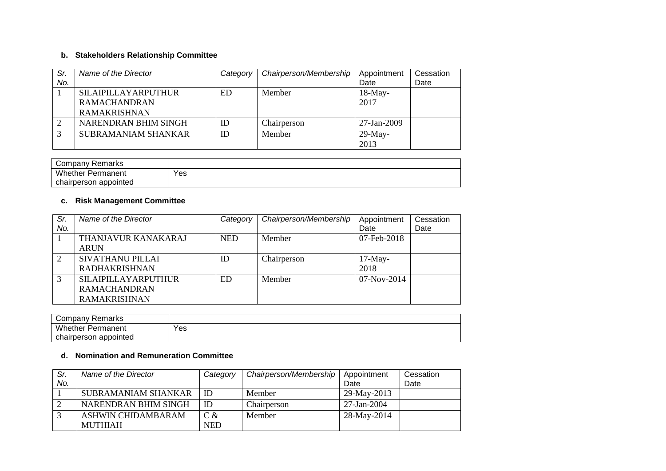# **b. Stakeholders Relationship Committee**

| Sr. | Name of the Director       | Category | Chairperson/Membership | Appointment       | Cessation |
|-----|----------------------------|----------|------------------------|-------------------|-----------|
| No. |                            |          |                        | Date              | Date      |
|     | <b>SILAIPILLAYARPUTHUR</b> | ED.      | Member                 | $18$ -May-        |           |
|     | <b>RAMACHANDRAN</b>        |          |                        | 2017              |           |
|     | <b>RAMAKRISHNAN</b>        |          |                        |                   |           |
|     | NARENDRAN BHIM SINGH       | ID       | Chairperson            | $27 - Jan - 2009$ |           |
| 3   | <b>SUBRAMANIAM SHANKAR</b> | ID       | Member                 | $29$ -May-        |           |
|     |                            |          |                        | 2013              |           |

| Company Remarks       |     |
|-----------------------|-----|
| Whether<br>Permanent  | Yes |
| chairperson appointed |     |

## **c. Risk Management Committee**

| Sr. | Name of the Director       | Category   | Chairperson/Membership | Appointment   | Cessation |
|-----|----------------------------|------------|------------------------|---------------|-----------|
| No. |                            |            |                        | Date          | Date      |
|     | <b>THANJAVUR KANAKARAJ</b> | <b>NED</b> | Member                 | 07-Feb-2018   |           |
|     | <b>ARUN</b>                |            |                        |               |           |
| 2   | <b>SIVATHANU PILLAI</b>    | ID         | Chairperson            | $17-May-$     |           |
|     | <b>RADHAKRISHNAN</b>       |            |                        | 2018          |           |
| 3   | <b>SILAIPILLAYARPUTHUR</b> | ED.        | Member                 | $07-Nov-2014$ |           |
|     | <b>RAMACHANDRAN</b>        |            |                        |               |           |
|     | <b>RAMAKRISHNAN</b>        |            |                        |               |           |

| Company Remarks          |     |
|--------------------------|-----|
| <b>Whether Permanent</b> | Yes |
| chairperson appointed    |     |

#### **d. Nomination and Remuneration Committee**

| Sr. | Name of the Director       | Category   | Chairperson/Membership | Appointment       | Cessation |
|-----|----------------------------|------------|------------------------|-------------------|-----------|
| No. |                            |            |                        | Date              | Date      |
|     | <b>SUBRAMANIAM SHANKAR</b> | ID         | Member                 | 29-May-2013       |           |
|     | NARENDRAN BHIM SINGH       | ID         | Chairperson            | $27 - Jan - 2004$ |           |
|     | ASHWIN CHIDAMBARAM         | $C \&$     | Member                 | 28-May-2014       |           |
|     | <b>MUTHIAH</b>             | <b>NED</b> |                        |                   |           |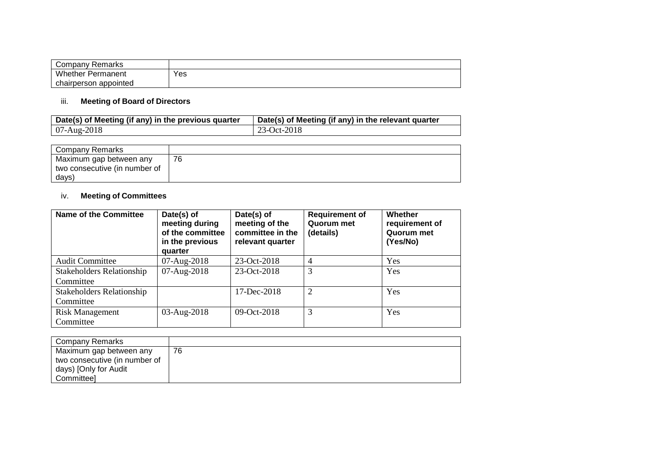| Company Remarks          |     |
|--------------------------|-----|
| <b>Whether Permanent</b> | Yes |
| chairperson appointed    |     |

## iii. **Meeting of Board of Directors**

| Date(s) of Meeting (if any) in the previous quarter | Date(s) of Meeting (if any) in the relevant quarter |
|-----------------------------------------------------|-----------------------------------------------------|
| $07-Aug-2018$                                       | 23-Oct-2018                                         |

| Company Remarks               |    |
|-------------------------------|----|
| Maximum gap between any       | 76 |
| two consecutive (in number of |    |
| days)                         |    |

## iv. **Meeting of Committees**

| <b>Name of the Committee</b>                  | Date(s) of<br>meeting during<br>of the committee<br>in the previous<br>quarter | Date(s) of<br>meeting of the<br>committee in the<br>relevant quarter | <b>Requirement of</b><br><b>Quorum met</b><br>(details) | Whether<br>requirement of<br>Quorum met<br>(Yes/No) |
|-----------------------------------------------|--------------------------------------------------------------------------------|----------------------------------------------------------------------|---------------------------------------------------------|-----------------------------------------------------|
| <b>Audit Committee</b>                        | 07-Aug-2018                                                                    | 23-Oct-2018                                                          | 4                                                       | Yes                                                 |
| <b>Stakeholders Relationship</b><br>Committee | 07-Aug-2018                                                                    | 23-Oct-2018                                                          | 3                                                       | Yes                                                 |
| <b>Stakeholders Relationship</b><br>Committee |                                                                                | $17 - Dec-2018$                                                      | $\overline{2}$                                          | <b>Yes</b>                                          |
| <b>Risk Management</b><br>Committee           | 03-Aug-2018                                                                    | 09-Oct-2018                                                          | 3                                                       | Yes                                                 |

| Company Remarks               |    |
|-------------------------------|----|
| Maximum gap between any       | 76 |
| two consecutive (in number of |    |
| days) [Only for Audit         |    |
| Committeel                    |    |